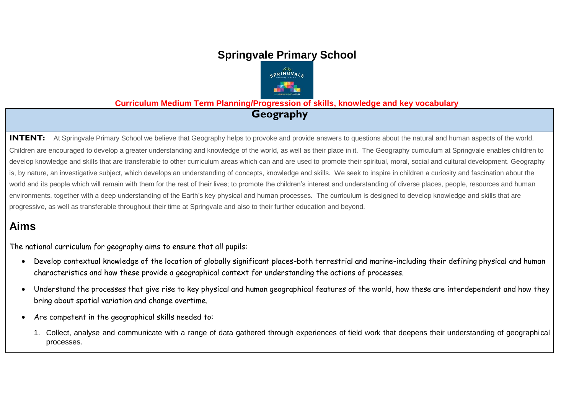# **Springvale Primary School**



**Curriculum Medium Term Planning/Progression of skills, knowledge and key vocabulary**

**Geography**

**INTENT:** At Springvale Primary School we believe that Geography helps to provoke and provide answers to questions about the natural and human aspects of the world. Children are encouraged to develop a greater understanding and knowledge of the world, as well as their place in it. The Geography curriculum at Springvale enables children to develop knowledge and skills that are transferable to other curriculum areas which can and are used to promote their spiritual, moral, social and cultural development. Geography is, by nature, an investigative subject, which develops an understanding of concepts, knowledge and skills. We seek to inspire in children a curiosity and fascination about the world and its people which will remain with them for the rest of their lives; to promote the children's interest and understanding of diverse places, people, resources and human environments, together with a deep understanding of the Earth's key physical and human processes. The curriculum is designed to develop knowledge and skills that are progressive, as well as transferable throughout their time at Springvale and also to their further education and beyond.

# **Aims**

The national curriculum for geography aims to ensure that all pupils:

- Develop contextual knowledge of the location of globally significant places-both terrestrial and marine-including their defining physical and human characteristics and how these provide a geographical context for understanding the actions of processes.
- Understand the processes that give rise to key physical and human geographical features of the world, how these are interdependent and how they bring about spatial variation and change overtime.
- Are competent in the geographical skills needed to:
	- 1. Collect, analyse and communicate with a range of data gathered through experiences of field work that deepens their understanding of geographical processes.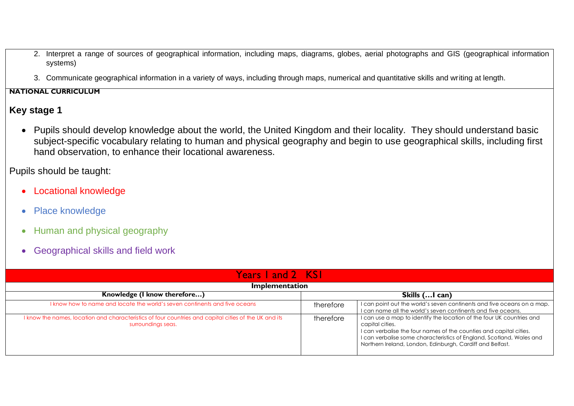- 2. Interpret a range of sources of geographical information, including maps, diagrams, globes, aerial photographs and GIS (geographical information systems)
- 3. Communicate geographical information in a variety of ways, including through maps, numerical and quantitative skills and writing at length.

#### **NATIONAL CURRICULUM**

### **Key stage 1**

 Pupils should develop knowledge about the world, the United Kingdom and their locality. They should understand basic subject-specific vocabulary relating to human and physical geography and begin to use geographical skills, including first hand observation, to enhance their locational awareness.

Pupils should be taught:

- Locational knowledge
- Place knowledge
- Human and physical geography
- Geographical skills and field work

| Years Land 2 KSL                                                                                                            |           |                                                                                                                                                                                                                                                                                                     |  |  |
|-----------------------------------------------------------------------------------------------------------------------------|-----------|-----------------------------------------------------------------------------------------------------------------------------------------------------------------------------------------------------------------------------------------------------------------------------------------------------|--|--|
| Implementation                                                                                                              |           |                                                                                                                                                                                                                                                                                                     |  |  |
| Knowledge (I know therefore)<br>Skills (I can)                                                                              |           |                                                                                                                                                                                                                                                                                                     |  |  |
| I know how to name and locate the world's seven continents and five oceans                                                  | therefore | I can point out the world's seven continents and five oceans on a map.<br>I can name all the world's seven continents and five oceans.                                                                                                                                                              |  |  |
| I know the names, location and characteristics of four countries and capital cities of the UK and its<br>surroundings seas. | therefore | I can use a map to identify the location of the four UK countries and<br>capital cities.<br>I can verbalise the four names of the counties and capital cities.<br>I can verbalise some characteristics of England, Scotland, Wales and<br>Northern Ireland, London, Edinburgh, Cardiff and Belfast. |  |  |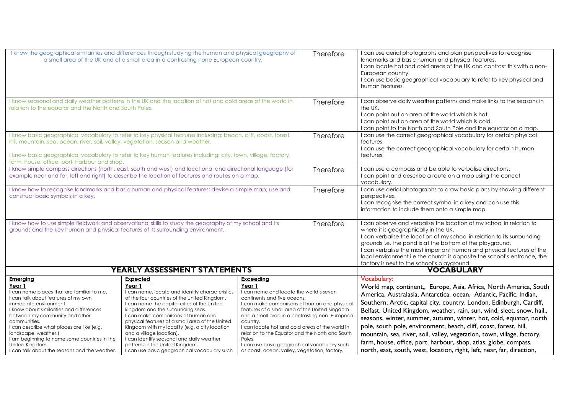| I know the geographical similarities and differences through studying the human and physical geography of<br>a small area of the UK and of a small area in a contrasting none European country.                                                                                                                                                                                                                                  |                                                                                                                                                                                                                                                                                                                                                                                                                                                                                                                   |                                                                                                                                                                                                                                                                                                                                                                                                                                                                                       | Therefore | I can use aerial photographs and plan perspectives to recognise<br>landmarks and basic human and physical features.<br>I can locate hot and cold areas of the UK and contrast this with a non-<br>European country.<br>I can use basic geographical vocabulary to refer to key physical and<br>human features.                                                                                                                                                                                                                                                                                                                                                                       |
|----------------------------------------------------------------------------------------------------------------------------------------------------------------------------------------------------------------------------------------------------------------------------------------------------------------------------------------------------------------------------------------------------------------------------------|-------------------------------------------------------------------------------------------------------------------------------------------------------------------------------------------------------------------------------------------------------------------------------------------------------------------------------------------------------------------------------------------------------------------------------------------------------------------------------------------------------------------|---------------------------------------------------------------------------------------------------------------------------------------------------------------------------------------------------------------------------------------------------------------------------------------------------------------------------------------------------------------------------------------------------------------------------------------------------------------------------------------|-----------|--------------------------------------------------------------------------------------------------------------------------------------------------------------------------------------------------------------------------------------------------------------------------------------------------------------------------------------------------------------------------------------------------------------------------------------------------------------------------------------------------------------------------------------------------------------------------------------------------------------------------------------------------------------------------------------|
| I know seasonal and daily weather patterns in the UK and the location of hot and cold areas of the world in<br>relation to the equator and the North and South Poles.                                                                                                                                                                                                                                                            |                                                                                                                                                                                                                                                                                                                                                                                                                                                                                                                   |                                                                                                                                                                                                                                                                                                                                                                                                                                                                                       | Therefore | I can observe daily weather patterns and make links to the seasons in<br>the UK.<br>I can point out an area of the world which is hot.<br>I can point out an area of the world which is cold.<br>I can point to the North and South Pole and the equator on a map.                                                                                                                                                                                                                                                                                                                                                                                                                   |
| I know basic geographical vocabulary to refer to key physical features including: beach, cliff, coast, forest,<br>hill, mountain, sea, ocean, river, soil, valley, vegetation, season and weather.<br>I know basic geographical vocabulary to refer to key human features including: city, town, village, factory,<br>farm, house, office, port, harbour and shop.                                                               |                                                                                                                                                                                                                                                                                                                                                                                                                                                                                                                   |                                                                                                                                                                                                                                                                                                                                                                                                                                                                                       | Therefore | I can use the correct geographical vocabulary for certain physical<br>features.<br>I can use the correct geographical vocabulary for certain human<br>features.                                                                                                                                                                                                                                                                                                                                                                                                                                                                                                                      |
|                                                                                                                                                                                                                                                                                                                                                                                                                                  | I know simple compass directions (north, east, south and west) and locational and directional language (for<br>example near and far, left and right) to describe the location of features and routes on a map.                                                                                                                                                                                                                                                                                                    |                                                                                                                                                                                                                                                                                                                                                                                                                                                                                       | Therefore | I can use a compass and be able to verbalise directions.<br>I can point and describe a route on a map using the correct<br>vocabulary.                                                                                                                                                                                                                                                                                                                                                                                                                                                                                                                                               |
| I know how to recognise landmarks and basic human and physical features; devise a simple map; use and<br>construct basic symbols in a key.                                                                                                                                                                                                                                                                                       |                                                                                                                                                                                                                                                                                                                                                                                                                                                                                                                   |                                                                                                                                                                                                                                                                                                                                                                                                                                                                                       | Therefore | I can use aerial photographs to draw basic plans by showing different<br>perspectives.<br>I can recognise the correct symbol in a key and can use this<br>information to include them onto a simple map.                                                                                                                                                                                                                                                                                                                                                                                                                                                                             |
| I know how to use simple fieldwork and observational skills to study the geography of my school and its<br>grounds and the key human and physical features of its surrounding environment.                                                                                                                                                                                                                                       |                                                                                                                                                                                                                                                                                                                                                                                                                                                                                                                   |                                                                                                                                                                                                                                                                                                                                                                                                                                                                                       | Therefore | I can observe and verbalise the location of my school in relation to<br>where it is geographically in the UK.<br>I can verbalise the location of my school in relation to its surrounding<br>grounds i.e. the pond is at the bottom of the playground.<br>I can verbalise the most important human and physical features of the<br>local environment i.e the church is opposite the school's entrance, the<br>factory is next to the school's playground.                                                                                                                                                                                                                            |
|                                                                                                                                                                                                                                                                                                                                                                                                                                  | <b>YEARLY ASSESSMENT STATEMENTS</b>                                                                                                                                                                                                                                                                                                                                                                                                                                                                               |                                                                                                                                                                                                                                                                                                                                                                                                                                                                                       |           | <b>VOCABULARY</b>                                                                                                                                                                                                                                                                                                                                                                                                                                                                                                                                                                                                                                                                    |
| <b>Emerging</b><br>Year 1<br>I can name places that are familiar to me.<br>I can talk about features of my own<br>immediate environment.<br>I know about similarities and differences<br>between my community and other<br>communities.<br>I can describe what places are like (e.g.<br>landscape, weather.)<br>I am beginning to name some countries in the<br>United Kingdom.<br>I can talk about the seasons and the weather. | Expected<br>Year 1<br>I can name, locate and identify characteristics<br>of the four countries of the United Kingdom.<br>I can name the capital cities of the United<br>kingdom and the surrounding seas.<br>I can make comparisons of human and<br>physical features of a small area of the United<br>Kingdom with my locality (e.g. a city location<br>and a village location).<br>I can identify seasonal and daily weather<br>patterns in the United Kingdom.<br>I can use basic geographical vocabulary such | <b>Exceeding</b><br>Year 1<br>I can name and locate the world's seven<br>continents and five oceans.<br>I can make comparisons of human and physical<br>features of a small area of the United Kingdom<br>and a small area in a contrasting non-European<br>country.<br>I can locate hot and cold areas of the world in<br>relation to the Equator and the North and South<br>Poles.<br>I can use basic geographical vocabulary such<br>as coast, ocean, valley, vegetation, factory, |           | <b>Vocabulary:</b><br>World map, continent,, Europe, Asia, Africa, North America, South<br>America, Australasia, Antarctica, ocean, Atlantic, Pacific, Indian,<br>Southern, Arctic, capital city, country, London, Edinburgh, Cardiff,<br>Belfast, United Kingdom, weather, rain, sun, wind, sleet, snow, hail.,<br>seasons, winter, summer, autumn, winter, hot, cold, equator, north<br>pole, south pole, environment, beach, cliff, coast, forest, hill,<br>mountain, sea, river, soil, valley, vegetation, town, village, factory,<br>farm, house, office, port, harbour, shop, atlas, globe, compass,<br>north, east, south, west, location, right, left, near, far, direction, |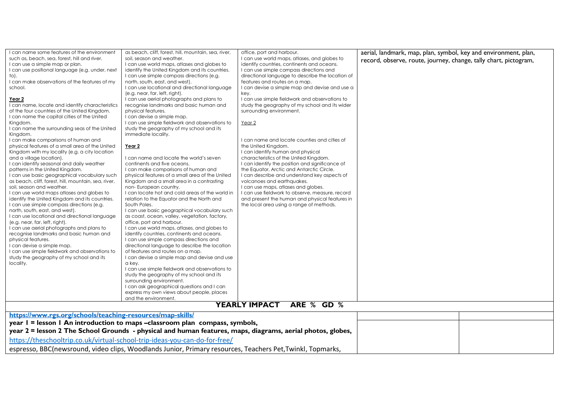| I can name some features of the environment                                                                | as beach, cliff, forest, hill, mountain, sea, river,                                                       | office, port and harbour.                        | aerial, landmark, map, plan, symbol, key and environment, plan,  |  |  |
|------------------------------------------------------------------------------------------------------------|------------------------------------------------------------------------------------------------------------|--------------------------------------------------|------------------------------------------------------------------|--|--|
| such as, beach, sea, forest, hill and river.                                                               | soil, season and weather.                                                                                  | I can use world maps, atlases, and globes to     | record, observe, route, journey, change, tally chart, pictogram, |  |  |
| I can use a simple map or plan.                                                                            | I can use world maps, atlases and globes to                                                                | identify countries, continents and oceans.       |                                                                  |  |  |
| I can use positional language (e.g. under, next                                                            | identify the United Kingdom and its countries.                                                             | I can use simple compass directions and          |                                                                  |  |  |
| to).                                                                                                       | I can use simple compass directions (e.g.                                                                  | directional language to describe the location of |                                                                  |  |  |
| I can make observations of the features of my                                                              | north, south, east, and west).                                                                             | features and routes on a map.                    |                                                                  |  |  |
| school.                                                                                                    | I can use locational and directional language                                                              | I can devise a simple map and devise and use a   |                                                                  |  |  |
|                                                                                                            | (e.g. near, far, left, right).                                                                             | key.                                             |                                                                  |  |  |
| Year 2                                                                                                     | I can use aerial photographs and plans to                                                                  | I can use simple fieldwork and observations to   |                                                                  |  |  |
| I can name, locate and identify characteristics                                                            | recognise landmarks and basic human and                                                                    | study the geography of my school and its wider   |                                                                  |  |  |
| of the four countries of the United Kingdom.                                                               | physical features.                                                                                         | surrounding environment.                         |                                                                  |  |  |
| I can name the capital cities of the United                                                                | I can devise a simple map.                                                                                 |                                                  |                                                                  |  |  |
| Kingdom.<br>I can name the surrounding seas of the United                                                  | I can use simple fieldwork and observations to<br>study the geography of my school and its                 | Year <sub>2</sub>                                |                                                                  |  |  |
| Kingdom.                                                                                                   | immediate locality.                                                                                        |                                                  |                                                                  |  |  |
| I can make comparisons of human and                                                                        |                                                                                                            | I can name and locate counties and cities of     |                                                                  |  |  |
| physical features of a small area of the United                                                            | Year 2                                                                                                     | the United Kingdom.                              |                                                                  |  |  |
| Kingdom with my locality (e.g. a city location                                                             |                                                                                                            | I can identify human and physical                |                                                                  |  |  |
| and a village location).                                                                                   | I can name and locate the world's seven                                                                    | characteristics of the United Kingdom.           |                                                                  |  |  |
| I can identify seasonal and daily weather                                                                  | continents and five oceans.                                                                                | I can identify the position and significance of  |                                                                  |  |  |
| patterns in the United Kingdom.                                                                            | I can make comparisons of human and                                                                        | the Equator, Arctic and Antarctic Circle.        |                                                                  |  |  |
| I can use basic geographical vocabulary such                                                               | physical features of a small area of the United                                                            | I can describe and understand key aspects of     |                                                                  |  |  |
| as beach, cliff, forest, hill, mountain, sea, river,                                                       | Kingdom and a small area in a contrasting                                                                  | volcanoes and earthquakes.                       |                                                                  |  |  |
| soil, season and weather.                                                                                  | non-European country.                                                                                      | I can use maps, atlases and globes.              |                                                                  |  |  |
| I can use world maps atlases and globes to                                                                 | I can locate hot and cold areas of the world in                                                            | I can use fieldwork to observe, measure, record  |                                                                  |  |  |
| identify the United Kingdom and its countries.                                                             | relation to the Equator and the North and                                                                  | and present the human and physical features in   |                                                                  |  |  |
| I can use simple compass directions (e.g.                                                                  | South Poles.                                                                                               | the local area using a range of methods.         |                                                                  |  |  |
| north, south, east, and west).                                                                             | I can use basic geographical vocabulary such                                                               |                                                  |                                                                  |  |  |
| I can use locational and directional language                                                              | as coast, ocean, valley, vegetation, factory,                                                              |                                                  |                                                                  |  |  |
| (e.g. near, far, left, right).                                                                             | office, port and harbour.                                                                                  |                                                  |                                                                  |  |  |
| I can use aerial photographs and plans to                                                                  | I can use world maps, atlases, and globes to                                                               |                                                  |                                                                  |  |  |
| recognise landmarks and basic human and                                                                    | identify countries, continents and oceans.                                                                 |                                                  |                                                                  |  |  |
| physical features.                                                                                         | I can use simple compass directions and                                                                    |                                                  |                                                                  |  |  |
| I can devise a simple map.<br>I can use simple fieldwork and observations to                               | directional language to describe the location<br>of features and routes on a map.                          |                                                  |                                                                  |  |  |
| study the geography of my school and its                                                                   | I can devise a simple map and devise and use                                                               |                                                  |                                                                  |  |  |
| locality.                                                                                                  | a kev.                                                                                                     |                                                  |                                                                  |  |  |
|                                                                                                            | I can use simple fieldwork and observations to                                                             |                                                  |                                                                  |  |  |
|                                                                                                            | study the geography of my school and its                                                                   |                                                  |                                                                  |  |  |
|                                                                                                            | surrounding environment.                                                                                   |                                                  |                                                                  |  |  |
|                                                                                                            | I can ask geographical questions and I can                                                                 |                                                  |                                                                  |  |  |
|                                                                                                            | express my own views about people, places                                                                  |                                                  |                                                                  |  |  |
|                                                                                                            | and the environment.                                                                                       |                                                  |                                                                  |  |  |
|                                                                                                            |                                                                                                            | <b>YEARLY IMPACT</b><br>ARE % GD %               |                                                                  |  |  |
| https://www.rgs.org/schools/teaching-resources/map-skills/                                                 |                                                                                                            |                                                  |                                                                  |  |  |
|                                                                                                            | year I = lesson I An introduction to maps -classroom plan compass, symbols,                                |                                                  |                                                                  |  |  |
|                                                                                                            | year 2 = lesson 2 The School Grounds - physical and human features, maps, diagrams, aerial photos, globes, |                                                  |                                                                  |  |  |
| https://theschooltrip.co.uk/virtual-school-trip-ideas-you-can-do-for-free/                                 |                                                                                                            |                                                  |                                                                  |  |  |
| espresso, BBC(newsround, video clips, Woodlands Junior, Primary resources, Teachers Pet, Twinkl, Topmarks, |                                                                                                            |                                                  |                                                                  |  |  |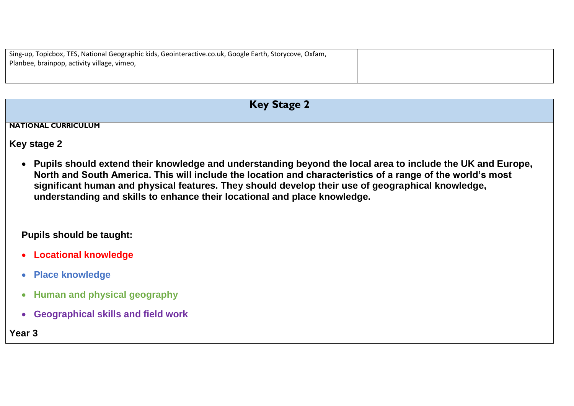| Sing-up, Topicbox, TES, National Geographic kids, Geointeractive.co.uk, Google Earth, Storycove, Oxfam, |  |
|---------------------------------------------------------------------------------------------------------|--|
| Planbee, brainpop, activity village, vimeo,                                                             |  |
|                                                                                                         |  |
|                                                                                                         |  |

| <b>Key Stage 2</b>                                                                                                                                                                                                                                                                                                                                                                                         |  |  |  |
|------------------------------------------------------------------------------------------------------------------------------------------------------------------------------------------------------------------------------------------------------------------------------------------------------------------------------------------------------------------------------------------------------------|--|--|--|
|                                                                                                                                                                                                                                                                                                                                                                                                            |  |  |  |
| <b>NATIONAL CURRICULUM</b>                                                                                                                                                                                                                                                                                                                                                                                 |  |  |  |
| Key stage 2                                                                                                                                                                                                                                                                                                                                                                                                |  |  |  |
| Pupils should extend their knowledge and understanding beyond the local area to include the UK and Europe,<br>North and South America. This will include the location and characteristics of a range of the world's most<br>significant human and physical features. They should develop their use of geographical knowledge,<br>understanding and skills to enhance their locational and place knowledge. |  |  |  |

# **Pupils should be taught:**

- **Locational knowledge**
- **Place knowledge**
- **Human and physical geography**
- **Geographical skills and field work**

**Year 3**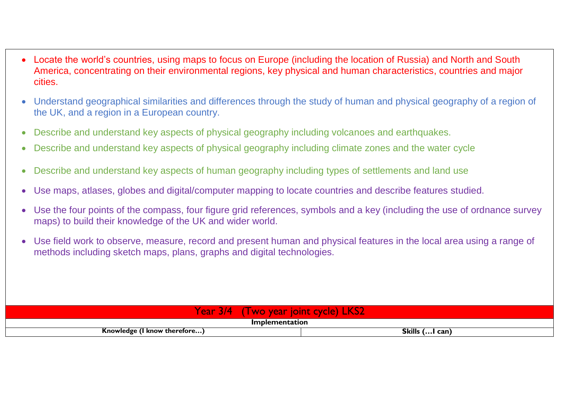- Locate the world's countries, using maps to focus on Europe (including the location of Russia) and North and South America, concentrating on their environmental regions, key physical and human characteristics, countries and major cities.
- Understand geographical similarities and differences through the study of human and physical geography of a region of the UK, and a region in a European country.
- Describe and understand key aspects of physical geography including volcanoes and earthquakes.
- Describe and understand key aspects of physical geography including climate zones and the water cycle
- Describe and understand key aspects of human geography including types of settlements and land use
- Use maps, atlases, globes and digital/computer mapping to locate countries and describe features studied.
- Use the four points of the compass, four figure grid references, symbols and a key (including the use of ordnance survey maps) to build their knowledge of the UK and wider world.
- Use field work to observe, measure, record and present human and physical features in the local area using a range of methods including sketch maps, plans, graphs and digital technologies.

| <b>Para</b><br><b>Year</b><br>WO<br><b>STAR</b><br>$\sim$ | LKS <sub>2</sub><br><b>inint</b><br>cycle) |  |  |
|-----------------------------------------------------------|--------------------------------------------|--|--|
| Implementation                                            |                                            |  |  |
| Skills ( I can)<br>Knowledge (I know therefore)           |                                            |  |  |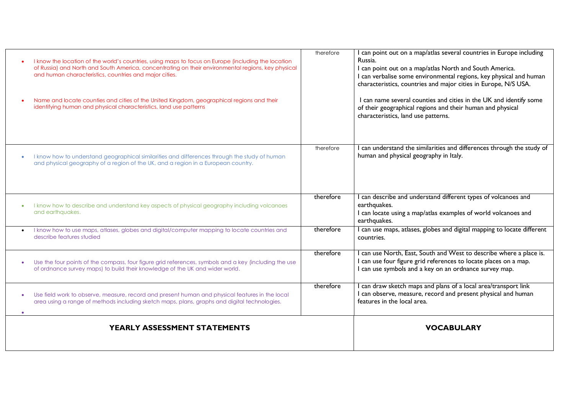| I know the location of the world's countries, using maps to focus on Europe (including the location<br>of Russia) and North and South America, concentrating on their environmental regions, key physical<br>and human characteristics, countries and major cities.<br>Name and locate counties and cities of the United Kingdom, geographical regions and their<br>identifying human and physical characteristics, land use patterns | therefore | I can point out on a map/atlas several countries in Europe including<br>Russia.<br>I can point out on a map/atlas North and South America.<br>I can verbalise some environmental regions, key physical and human<br>characteristics, countries and major cities in Europe, N/S USA.<br>I can name several counties and cities in the UK and identify some<br>of their geographical regions and their human and physical<br>characteristics, land use patterns. |
|---------------------------------------------------------------------------------------------------------------------------------------------------------------------------------------------------------------------------------------------------------------------------------------------------------------------------------------------------------------------------------------------------------------------------------------|-----------|----------------------------------------------------------------------------------------------------------------------------------------------------------------------------------------------------------------------------------------------------------------------------------------------------------------------------------------------------------------------------------------------------------------------------------------------------------------|
| I know how to understand geographical similarities and differences through the study of human<br>and physical geography of a region of the UK, and a region in a European country.                                                                                                                                                                                                                                                    | therefore | I can understand the similarities and differences through the study of<br>human and physical geography in Italy.                                                                                                                                                                                                                                                                                                                                               |
| I know how to describe and understand key aspects of physical geography including volcanoes<br>and earthquakes.                                                                                                                                                                                                                                                                                                                       | therefore | I can describe and understand different types of volcanoes and<br>earthquakes.<br>I can locate using a map/atlas examples of world volcanoes and<br>earthquakes.                                                                                                                                                                                                                                                                                               |
| I know how to use maps, atlases, globes and digital/computer mapping to locate countries and<br>describe features studied                                                                                                                                                                                                                                                                                                             | therefore | I can use maps, atlases, globes and digital mapping to locate different<br>countries.                                                                                                                                                                                                                                                                                                                                                                          |
| Use the four points of the compass, four figure grid references, symbols and a key (including the use<br>of ordnance survey maps) to build their knowledge of the UK and wider world.                                                                                                                                                                                                                                                 | therefore | I can use North, East, South and West to describe where a place is.<br>I can use four figure grid references to locate places on a map.<br>I can use symbols and a key on an ordnance survey map.                                                                                                                                                                                                                                                              |
| Use field work to observe, measure, record and present human and physical features in the local<br>area using a range of methods including sketch maps, plans, graphs and digital technologies.                                                                                                                                                                                                                                       | therefore | I can draw sketch maps and plans of a local area/transport link<br>I can observe, measure, record and present physical and human<br>features in the local area.                                                                                                                                                                                                                                                                                                |
| YEARLY ASSESSMENT STATEMENTS                                                                                                                                                                                                                                                                                                                                                                                                          |           | <b>VOCABULARY</b>                                                                                                                                                                                                                                                                                                                                                                                                                                              |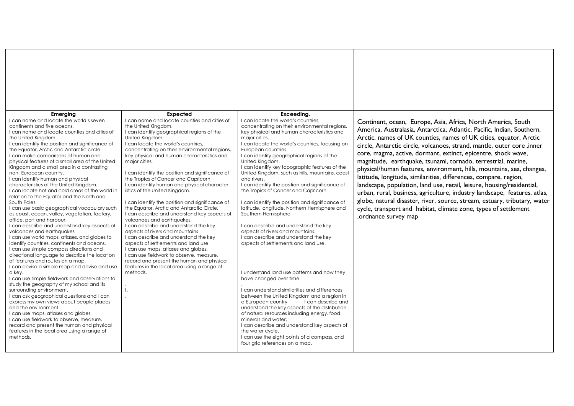| Emeraina<br>I can name and locate the world's seven<br>continents and five oceans.<br>I can name and locate counties and cities of<br>the United Kingdom<br>I can identify the position and significance of<br>the Equator, Arctic and Antarctic circle<br>I can make comparisons of human and<br>physical features of a small area of the United<br>Kingdom and a small area in a contrasting<br>non-European country.<br>I can identify human and physical<br>characteristics of the United Kingdom.<br>I can locate hot and cold areas of the world in<br>relation to the Equator and the North and<br>South Poles.<br>I can use basic geographical vocabulary such<br>as coast, ocean, valley, vegetation, factory,<br>office, port and harbour.<br>I can describe and understand key aspects of<br>volcanoes and earthquakes<br>I can use world maps, atlases, and globes to<br>identify countries, continents and oceans.<br>I can use simple compass directions and<br>directional language to describe the location<br>of features and routes on a map.<br>I can devise a simple map and devise and use<br>a kev.<br>I can use simple fieldwork and observations to<br>study the geography of my school and its<br>surrounding environment.<br>I can ask geographical questions and I can<br>express my own views about people places<br>and the environment.<br>I can use maps, atlases and globes.<br>I can use fieldwork to observe, measure,<br>record and present the human and physical<br>features in the local area using a range of<br>methods. | <b>Expected</b><br>I can name and locate counties and cities of<br>the United Kingdom.<br>I can identify geographical regions of the<br>United Kingdom<br>I can locate the world's countries.<br>concentrating on their environmental regions,<br>key physical and human characteristics and<br>major cities.<br>I can identify the position and significance of<br>the Tropics of Cancer and Capricorn<br>I can identify human and physical character<br>istics of the United Kingdom.<br>I can identify the position and significance of<br>the Equator, Arctic and Antarctic Circle.<br>I can describe and understand key aspects of<br>volcanoes and earthquakes.<br>I can describe and understand the key<br>aspects of rivers and mountains<br>I can describe and understand the key<br>aspects of settlements and land use<br>I can use maps, atlases and globes.<br>I can use fieldwork to observe, measure,<br>record and present the human and physical<br>features in the local area using a range of<br>methods. | Exceedina.<br>I can locate the world's countries,<br>concentrating on their environmental regions,<br>key physical and human characteristics and<br>major cities.<br>I can locate the world's countries, focusing on<br>European countries<br>I can identify geographical regions of the<br>United Kingdom.<br>I can identify key topographic features of the<br>United Kingdom, such as hills, mountains, coast<br>and rivers.<br>I can identify the position and significance of<br>the Tropics of Cancer and Capricorn.<br>I can identify the position and significance of<br>latitude, longitude, Northern Hemisphere and<br>Southern Hemisphere<br>I can describe and understand the key<br>aspects of rivers and mountains.<br>I can describe and understand the key<br>aspects of settlements and land use.<br>I understand land use patterns and how they<br>have changed over time.<br>I can understand similarities and differences<br>between the United Kingdom and a region in<br>a European country<br>I can describe and<br>understand the key aspects of the distribution<br>of natural resources including energy, food,<br>minerals and water,<br>I can describe and understand key aspects of<br>the water cycle.<br>I can use the eight points of a compass, and<br>four grid references on a map. | Continent, ocean, Europe, Asia, Africa, North America, South<br>America, Australasia, Antarctica, Atlantic, Pacific, Indian, Southern,<br>Arctic, names of UK counties, names of UK cities, equator, Arctic<br>circle, Antarctic circle, volcanoes, strand, mantle, outer core ,inner<br>core, magma, active, dormant, extinct, epicentre, shock wave,<br>magnitude, earthquake, tsunami, tornado, terrestrial, marine,<br>physical/human features, environment, hills, mountains, sea, changes,<br>latitude, longitude, similarities, differences, compare, region,<br>landscape, population, land use, retail, leisure, housing/residential,<br>urban, rural, business, agriculture, industry landscape, features, atlas,<br>globe, natural disaster, river, source, stream, estuary, tributary, water<br>cycle, transport and habitat, climate zone, types of settlement<br>, ordnance survey map |
|------------------------------------------------------------------------------------------------------------------------------------------------------------------------------------------------------------------------------------------------------------------------------------------------------------------------------------------------------------------------------------------------------------------------------------------------------------------------------------------------------------------------------------------------------------------------------------------------------------------------------------------------------------------------------------------------------------------------------------------------------------------------------------------------------------------------------------------------------------------------------------------------------------------------------------------------------------------------------------------------------------------------------------------------------------------------------------------------------------------------------------------------------------------------------------------------------------------------------------------------------------------------------------------------------------------------------------------------------------------------------------------------------------------------------------------------------------------------------------------------------------------------------------------------------------------|------------------------------------------------------------------------------------------------------------------------------------------------------------------------------------------------------------------------------------------------------------------------------------------------------------------------------------------------------------------------------------------------------------------------------------------------------------------------------------------------------------------------------------------------------------------------------------------------------------------------------------------------------------------------------------------------------------------------------------------------------------------------------------------------------------------------------------------------------------------------------------------------------------------------------------------------------------------------------------------------------------------------------|------------------------------------------------------------------------------------------------------------------------------------------------------------------------------------------------------------------------------------------------------------------------------------------------------------------------------------------------------------------------------------------------------------------------------------------------------------------------------------------------------------------------------------------------------------------------------------------------------------------------------------------------------------------------------------------------------------------------------------------------------------------------------------------------------------------------------------------------------------------------------------------------------------------------------------------------------------------------------------------------------------------------------------------------------------------------------------------------------------------------------------------------------------------------------------------------------------------------------------------------------------------------------------------------------------------------|------------------------------------------------------------------------------------------------------------------------------------------------------------------------------------------------------------------------------------------------------------------------------------------------------------------------------------------------------------------------------------------------------------------------------------------------------------------------------------------------------------------------------------------------------------------------------------------------------------------------------------------------------------------------------------------------------------------------------------------------------------------------------------------------------------------------------------------------------------------------------------------------------|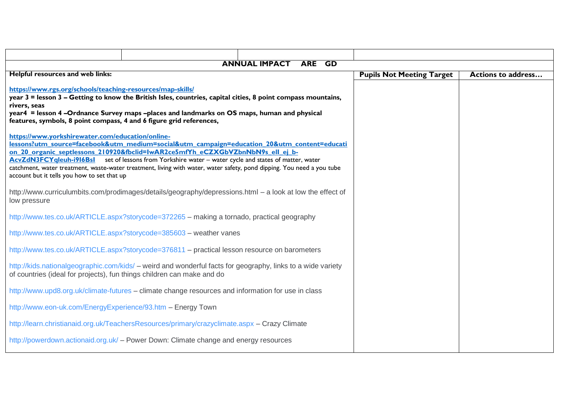|                                                                                                                                                                                                                                                                                                                                                                  |                                                                                                                                                                                                                                                                                                                                                                                                                 | <b>ARE</b><br>GD |                                  |                           |
|------------------------------------------------------------------------------------------------------------------------------------------------------------------------------------------------------------------------------------------------------------------------------------------------------------------------------------------------------------------|-----------------------------------------------------------------------------------------------------------------------------------------------------------------------------------------------------------------------------------------------------------------------------------------------------------------------------------------------------------------------------------------------------------------|------------------|----------------------------------|---------------------------|
|                                                                                                                                                                                                                                                                                                                                                                  | <b>ANNUAL IMPACT</b>                                                                                                                                                                                                                                                                                                                                                                                            |                  |                                  |                           |
| Helpful resources and web links:                                                                                                                                                                                                                                                                                                                                 |                                                                                                                                                                                                                                                                                                                                                                                                                 |                  | <b>Pupils Not Meeting Target</b> | <b>Actions to address</b> |
| https://www.rgs.org/schools/teaching-resources/map-skills/<br>year 3 = lesson 3 - Getting to know the British Isles, countries, capital cities, 8 point compass mountains,<br>rivers, seas<br>year4 = lesson 4 -Ordnance Survey maps -places and landmarks on OS maps, human and physical<br>features, symbols, 8 point compass, 4 and 6 figure grid references, |                                                                                                                                                                                                                                                                                                                                                                                                                 |                  |                                  |                           |
| https://www.yorkshirewater.com/education/online-<br>account but it tells you how to set that up                                                                                                                                                                                                                                                                  | lessons?utm_source=facebook&utm_medium=social&utm_campaign=education_20&utm_content=educati<br>on 20 organic septlessons 210920&fbclid=IwAR2ce5mfYh eCZXGbVZbnNbN9s ell ej b-<br>AcvZdN3FCYqleuh-i916Bsl set of lessons from Yorkshire water - water cycle and states of matter, water<br>catchment, water treatment, waste-water treatment, living with water, water safety, pond dipping. You need a you tube |                  |                                  |                           |
| low pressure                                                                                                                                                                                                                                                                                                                                                     | http://www.curriculumbits.com/prodimages/details/geography/depressions.html - a look at low the effect of                                                                                                                                                                                                                                                                                                       |                  |                                  |                           |
|                                                                                                                                                                                                                                                                                                                                                                  | http://www.tes.co.uk/ARTICLE.aspx?storycode=372265 - making a tornado, practical geography                                                                                                                                                                                                                                                                                                                      |                  |                                  |                           |
|                                                                                                                                                                                                                                                                                                                                                                  | http://www.tes.co.uk/ARTICLE.aspx?storycode=385603 - weather vanes                                                                                                                                                                                                                                                                                                                                              |                  |                                  |                           |
|                                                                                                                                                                                                                                                                                                                                                                  | http://www.tes.co.uk/ARTICLE.aspx?storycode=376811 - practical lesson resource on barometers                                                                                                                                                                                                                                                                                                                    |                  |                                  |                           |
| http://kids.nationalgeographic.com/kids/ – weird and wonderful facts for geography, links to a wide variety<br>of countries (ideal for projects), fun things children can make and do                                                                                                                                                                            |                                                                                                                                                                                                                                                                                                                                                                                                                 |                  |                                  |                           |
| http://www.upd8.org.uk/climate-futures – climate change resources and information for use in class                                                                                                                                                                                                                                                               |                                                                                                                                                                                                                                                                                                                                                                                                                 |                  |                                  |                           |
| http://www.eon-uk.com/EnergyExperience/93.htm - Energy Town                                                                                                                                                                                                                                                                                                      |                                                                                                                                                                                                                                                                                                                                                                                                                 |                  |                                  |                           |
| http://learn.christianaid.org.uk/TeachersResources/primary/crazyclimate.aspx - Crazy Climate                                                                                                                                                                                                                                                                     |                                                                                                                                                                                                                                                                                                                                                                                                                 |                  |                                  |                           |
|                                                                                                                                                                                                                                                                                                                                                                  | http://powerdown.actionaid.org.uk/ - Power Down: Climate change and energy resources                                                                                                                                                                                                                                                                                                                            |                  |                                  |                           |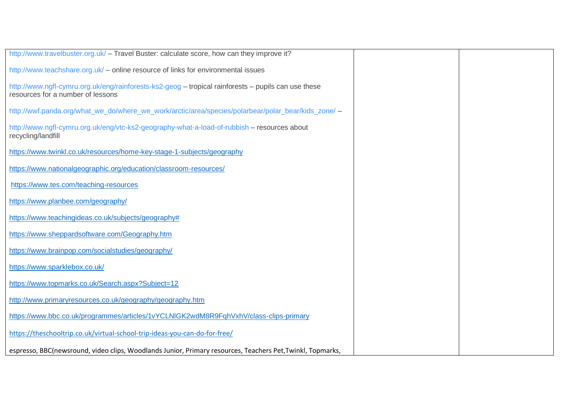| http://www.travelbuster.org.uk/ - Travel Buster: calculate score, how can they improve it?                                               |  |
|------------------------------------------------------------------------------------------------------------------------------------------|--|
| http://www.teachshare.org.uk/ - online resource of links for environmental issues                                                        |  |
| http://www.ngfl-cymru.org.uk/eng/rainforests-ks2-geog – tropical rainforests – pupils can use these<br>resources for a number of lessons |  |
| http://wwf.panda.org/what_we_do/where_we_work/arctic/area/species/polarbear/polar_bear/kids_zone/ -                                      |  |
| http://www.ngfl-cymru.org.uk/eng/vtc-ks2-geography-what-a-load-of-rubbish - resources about<br>recycling/landfill                        |  |
| https://www.twinkl.co.uk/resources/home-key-stage-1-subjects/geography                                                                   |  |
| https://www.nationalgeographic.org/education/classroom-resources/                                                                        |  |
| https://www.tes.com/teaching-resources                                                                                                   |  |
| https://www.planbee.com/geography/                                                                                                       |  |
| https://www.teachingideas.co.uk/subjects/geography#                                                                                      |  |
| https://www.sheppardsoftware.com/Geography.htm                                                                                           |  |
| https://www.brainpop.com/socialstudies/geography/                                                                                        |  |
| https://www.sparklebox.co.uk/                                                                                                            |  |
| https://www.topmarks.co.uk/Search.aspx?Subject=12                                                                                        |  |
| http://www.primaryresources.co.uk/geography/geography.htm                                                                                |  |
| https://www.bbc.co.uk/programmes/articles/1vYCLNIGK2wdM8R9FqhVxhV/class-clips-primary                                                    |  |
| https://theschooltrip.co.uk/virtual-school-trip-ideas-you-can-do-for-free/                                                               |  |
| espresso, BBC(newsround, video clips, Woodlands Junior, Primary resources, Teachers Pet, Twinkl, Topmarks,                               |  |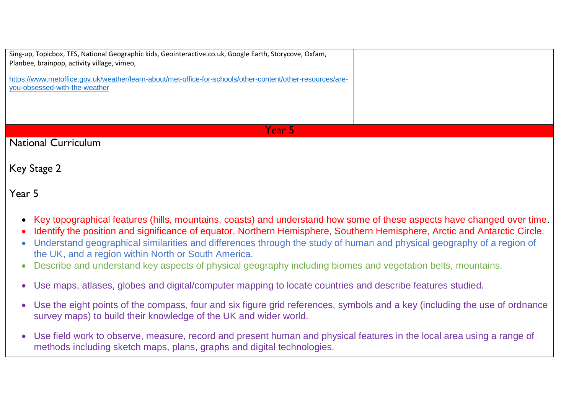| Sing-up, Topicbox, TES, National Geographic kids, Geointeractive.co.uk, Google Earth, Storycove, Oxfam,<br>Planbee, brainpop, activity village, vimeo, |  |
|--------------------------------------------------------------------------------------------------------------------------------------------------------|--|
| https://www.metoffice.gov.uk/weather/learn-about/met-office-for-schools/other-content/other-resources/are-<br>you-obsessed-with-the-weather            |  |
| Year 51                                                                                                                                                |  |

National Curriculum

Key Stage 2

Year 5

- Key topographical features (hills, mountains, coasts) and understand how some of these aspects have changed over time.
- Identify the position and significance of equator, Northern Hemisphere, Southern Hemisphere, Arctic and Antarctic Circle.
- Understand geographical similarities and differences through the study of human and physical geography of a region of the UK, and a region within North or South America.
- Describe and understand key aspects of physical geography including biomes and vegetation belts, mountains.
- Use maps, atlases, globes and digital/computer mapping to locate countries and describe features studied.
- Use the eight points of the compass, four and six figure grid references, symbols and a key (including the use of ordnance survey maps) to build their knowledge of the UK and wider world.
- Use field work to observe, measure, record and present human and physical features in the local area using a range of methods including sketch maps, plans, graphs and digital technologies.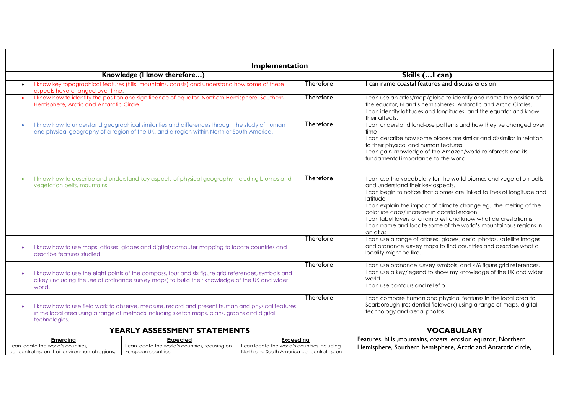| Implementation                                                                                                                                                                                                   |                                                                                                       |                  |                                                                                                                                                                                                                                                                                                                                                                                                                                                                        |  |  |
|------------------------------------------------------------------------------------------------------------------------------------------------------------------------------------------------------------------|-------------------------------------------------------------------------------------------------------|------------------|------------------------------------------------------------------------------------------------------------------------------------------------------------------------------------------------------------------------------------------------------------------------------------------------------------------------------------------------------------------------------------------------------------------------------------------------------------------------|--|--|
| Knowledge (I know therefore)                                                                                                                                                                                     |                                                                                                       | Skills ( I can)  |                                                                                                                                                                                                                                                                                                                                                                                                                                                                        |  |  |
| I know key topographical features (hills, mountains, coasts) and understand how some of these<br>aspects have changed over time.                                                                                 |                                                                                                       | <b>Therefore</b> | can name coastal features and discuss erosion                                                                                                                                                                                                                                                                                                                                                                                                                          |  |  |
| Hemisphere, Arctic and Antarctic Circle.                                                                                                                                                                         | I know how to identify the position and significance of equator, Northern Hemisphere, Southern        |                  | I can use an atlas/map/globe to identify and name the position of<br>the equator, N and s hemispheres, Antarctic and Arctic Circles.<br>I can identify latitudes and longitudes, and the equator and know<br>their affects.                                                                                                                                                                                                                                            |  |  |
| I know how to understand geographical similarities and differences through the study of human<br>$\bullet$<br>and physical geography of a region of the UK, and a region within North or South America.          |                                                                                                       | Therefore        | I can understand land-use patterns and how they've changed over<br>time<br>I can describe how some places are similar and dissimilar in relation<br>to their physical and human features<br>I can gain knowledge of the Amazon/world rainforests and its<br>fundamental importance to the world                                                                                                                                                                        |  |  |
| I know how to describe and understand key aspects of physical geography including biomes and<br>$\bullet$<br>vegetation belts, mountains.                                                                        |                                                                                                       | <b>Therefore</b> | I can use the vocabulary for the world biomes and vegetation belts<br>and understand their key aspects.<br>I can begin to notice that biomes are linked to lines of longitude and<br>latitude<br>I can explain the impact of climate change eg. the melting of the<br>polar ice caps/increase in coastal erosion.<br>I can label layers of a rainforest and know what deforestation is<br>I can name and locate some of the world's mountainous regions in<br>an atlas |  |  |
| I know how to use maps, atlases, globes and digital/computer mapping to locate countries and<br>$\bullet$<br>describe features studied.                                                                          |                                                                                                       | <b>Therefore</b> | I can use a range of atlases, globes, aerial photos, satellite images<br>and ordnance survey maps to find countries and describe what a<br>locality might be like.                                                                                                                                                                                                                                                                                                     |  |  |
| I know how to use the eight points of the compass, four and six figure grid references, symbols and<br>a key (including the use of ordinance survey maps) to build their knowledge of the UK and wider<br>world. |                                                                                                       | Therefore        | I can use ordnance survey symbols, and 4/6 figure grid references.<br>I can use a key/legend to show my knowledge of the UK and wider<br>world<br>I can use contours and relief o                                                                                                                                                                                                                                                                                      |  |  |
| I know how to use field work to observe, measure, record and present human and physical features<br>in the local area using a range of methods including sketch maps, plans, graphs and digital<br>technologies. |                                                                                                       | Therefore        | I can compare human and physical features in the local area to<br>Scarborough (residential fieldwork) using a range of maps, digital<br>technology and aerial photos                                                                                                                                                                                                                                                                                                   |  |  |
| YEARLY ASSESSMENT STATEMENTS                                                                                                                                                                                     |                                                                                                       |                  | <b>VOCABULARY</b>                                                                                                                                                                                                                                                                                                                                                                                                                                                      |  |  |
| <b>Emerging</b><br>Expected<br>I can locate the world's countries, focusing on<br>I can locate the world's countries,<br>concentrating on their environmental regions,<br>European countries.                    | Exceeding<br>I can locate the world's countries including<br>North and South America concentrating on |                  | Features, hills , mountains, coasts, erosion equator, Northern<br>Hemisphere, Southern hemisphere, Arctic and Antarctic circle,                                                                                                                                                                                                                                                                                                                                        |  |  |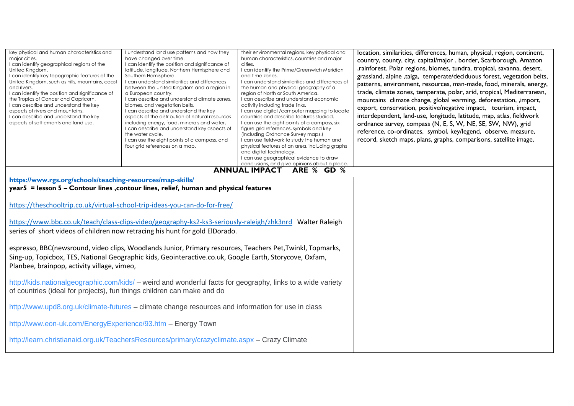| key physical and human characteristics and<br>major cities.<br>I can identify geographical regions of the<br>United Kingdom.<br>I can identify key topographic features of the<br>United Kingdom, such as hills, mountains, coast<br>and rivers.<br>I can identify the position and significance of<br>the Tropics of Cancer and Capricorn.<br>I can describe and understand the key<br>aspects of rivers and mountains.<br>I can describe and understand the key<br>aspects of settlements and land use. | I understand land use patterns and how they<br>have changed over time.<br>I can identify the position and significance of<br>latitude, longitude, Northern Hemisphere and<br>Southern Hemisphere.<br>I can understand similarities and differences<br>between the United Kingdom and a region in<br>a European country.<br>I can describe and understand climate zones,<br>biomes, and vegetation belts.<br>I can describe and understand the key<br>aspects of the distribution of natural resources<br>including energy, food, minerals and water,<br>I can describe and understand key aspects of<br>the water cycle.<br>I can use the eight points of a compass, and<br>four grid references on a map. | their environmental regions, key physical and<br>human characteristics, countries and major<br>cities.<br>I can identify the Prime/Greenwich Meridian<br>and time zones.<br>I can understand similarities and differences of<br>the human and physical geography of a<br>region of North or South America.<br>I can describe and understand economic<br>activity including trade links.<br>I can use digital /computer mapping to locate<br>countries and describe features studied.<br>I can use the eight points of a compass, six<br>figure grid references, symbols and key<br>(including Ordnance Survey maps.)<br>I can use fieldwork to study the human and<br>physical features of an area, including graphs<br>and digital technology.<br>I can use geographical evidence to draw<br>conclusions, and give opinions about a place. | location, similarities, differences, human, physical, region, continent,<br>country, county, city, capital/major, border, Scarborough, Amazon<br>,rainforest. Polar regions, biomes, tundra, tropical, savanna, desert,<br>grassland, alpine , taiga, temperate/deciduous forest, vegetation belts,<br>patterns, environment, resources, man-made, food, minerals, energy,<br>trade, climate zones, temperate, polar, arid, tropical, Mediterranean,<br>mountains climate change, global warming, deforestation, , import,<br>export, conservation, positive/negative impact, tourism, impact,<br>interdependent, land-use, longitude, latitude, map, atlas, fieldwork<br>ordnance survey, compass (N, E, S, W, NE, SE, SW, NW), grid<br>reference, co-ordinates, symbol, key/legend, observe, measure,<br>record, sketch maps, plans, graphs, comparisons, satellite image, |  |
|-----------------------------------------------------------------------------------------------------------------------------------------------------------------------------------------------------------------------------------------------------------------------------------------------------------------------------------------------------------------------------------------------------------------------------------------------------------------------------------------------------------|------------------------------------------------------------------------------------------------------------------------------------------------------------------------------------------------------------------------------------------------------------------------------------------------------------------------------------------------------------------------------------------------------------------------------------------------------------------------------------------------------------------------------------------------------------------------------------------------------------------------------------------------------------------------------------------------------------|---------------------------------------------------------------------------------------------------------------------------------------------------------------------------------------------------------------------------------------------------------------------------------------------------------------------------------------------------------------------------------------------------------------------------------------------------------------------------------------------------------------------------------------------------------------------------------------------------------------------------------------------------------------------------------------------------------------------------------------------------------------------------------------------------------------------------------------------|------------------------------------------------------------------------------------------------------------------------------------------------------------------------------------------------------------------------------------------------------------------------------------------------------------------------------------------------------------------------------------------------------------------------------------------------------------------------------------------------------------------------------------------------------------------------------------------------------------------------------------------------------------------------------------------------------------------------------------------------------------------------------------------------------------------------------------------------------------------------------|--|
|                                                                                                                                                                                                                                                                                                                                                                                                                                                                                                           |                                                                                                                                                                                                                                                                                                                                                                                                                                                                                                                                                                                                                                                                                                            | ANNUAL IMPACT ARE % GD %                                                                                                                                                                                                                                                                                                                                                                                                                                                                                                                                                                                                                                                                                                                                                                                                                    |                                                                                                                                                                                                                                                                                                                                                                                                                                                                                                                                                                                                                                                                                                                                                                                                                                                                              |  |
|                                                                                                                                                                                                                                                                                                                                                                                                                                                                                                           | https://www.rgs.org/schools/teaching-resources/map-skills/<br>year5 = lesson 5 - Contour lines , contour lines, relief, human and physical features                                                                                                                                                                                                                                                                                                                                                                                                                                                                                                                                                        |                                                                                                                                                                                                                                                                                                                                                                                                                                                                                                                                                                                                                                                                                                                                                                                                                                             |                                                                                                                                                                                                                                                                                                                                                                                                                                                                                                                                                                                                                                                                                                                                                                                                                                                                              |  |
|                                                                                                                                                                                                                                                                                                                                                                                                                                                                                                           |                                                                                                                                                                                                                                                                                                                                                                                                                                                                                                                                                                                                                                                                                                            |                                                                                                                                                                                                                                                                                                                                                                                                                                                                                                                                                                                                                                                                                                                                                                                                                                             |                                                                                                                                                                                                                                                                                                                                                                                                                                                                                                                                                                                                                                                                                                                                                                                                                                                                              |  |
|                                                                                                                                                                                                                                                                                                                                                                                                                                                                                                           | https://theschooltrip.co.uk/virtual-school-trip-ideas-you-can-do-for-free/                                                                                                                                                                                                                                                                                                                                                                                                                                                                                                                                                                                                                                 |                                                                                                                                                                                                                                                                                                                                                                                                                                                                                                                                                                                                                                                                                                                                                                                                                                             |                                                                                                                                                                                                                                                                                                                                                                                                                                                                                                                                                                                                                                                                                                                                                                                                                                                                              |  |
| https://www.bbc.co.uk/teach/class-clips-video/geography-ks2-ks3-seriously-raleigh/zhk3nrd Walter Raleigh<br>series of short videos of children now retracing his hunt for gold ElDorado.<br>espresso, BBC(newsround, video clips, Woodlands Junior, Primary resources, Teachers Pet, Twinkl, Topmarks,                                                                                                                                                                                                    |                                                                                                                                                                                                                                                                                                                                                                                                                                                                                                                                                                                                                                                                                                            |                                                                                                                                                                                                                                                                                                                                                                                                                                                                                                                                                                                                                                                                                                                                                                                                                                             |                                                                                                                                                                                                                                                                                                                                                                                                                                                                                                                                                                                                                                                                                                                                                                                                                                                                              |  |
| Planbee, brainpop, activity village, vimeo,                                                                                                                                                                                                                                                                                                                                                                                                                                                               | Sing-up, Topicbox, TES, National Geographic kids, Geointeractive.co.uk, Google Earth, Storycove, Oxfam,                                                                                                                                                                                                                                                                                                                                                                                                                                                                                                                                                                                                    |                                                                                                                                                                                                                                                                                                                                                                                                                                                                                                                                                                                                                                                                                                                                                                                                                                             |                                                                                                                                                                                                                                                                                                                                                                                                                                                                                                                                                                                                                                                                                                                                                                                                                                                                              |  |
| http://kids.nationalgeographic.com/kids/ – weird and wonderful facts for geography, links to a wide variety<br>of countries (ideal for projects), fun things children can make and do                                                                                                                                                                                                                                                                                                                     |                                                                                                                                                                                                                                                                                                                                                                                                                                                                                                                                                                                                                                                                                                            |                                                                                                                                                                                                                                                                                                                                                                                                                                                                                                                                                                                                                                                                                                                                                                                                                                             |                                                                                                                                                                                                                                                                                                                                                                                                                                                                                                                                                                                                                                                                                                                                                                                                                                                                              |  |
| http://www.upd8.org.uk/climate-futures - climate change resources and information for use in class                                                                                                                                                                                                                                                                                                                                                                                                        |                                                                                                                                                                                                                                                                                                                                                                                                                                                                                                                                                                                                                                                                                                            |                                                                                                                                                                                                                                                                                                                                                                                                                                                                                                                                                                                                                                                                                                                                                                                                                                             |                                                                                                                                                                                                                                                                                                                                                                                                                                                                                                                                                                                                                                                                                                                                                                                                                                                                              |  |
|                                                                                                                                                                                                                                                                                                                                                                                                                                                                                                           |                                                                                                                                                                                                                                                                                                                                                                                                                                                                                                                                                                                                                                                                                                            |                                                                                                                                                                                                                                                                                                                                                                                                                                                                                                                                                                                                                                                                                                                                                                                                                                             |                                                                                                                                                                                                                                                                                                                                                                                                                                                                                                                                                                                                                                                                                                                                                                                                                                                                              |  |
| http://www.eon-uk.com/EnergyExperience/93.htm - Energy Town                                                                                                                                                                                                                                                                                                                                                                                                                                               |                                                                                                                                                                                                                                                                                                                                                                                                                                                                                                                                                                                                                                                                                                            |                                                                                                                                                                                                                                                                                                                                                                                                                                                                                                                                                                                                                                                                                                                                                                                                                                             |                                                                                                                                                                                                                                                                                                                                                                                                                                                                                                                                                                                                                                                                                                                                                                                                                                                                              |  |
| http://learn.christianaid.org.uk/TeachersResources/primary/crazyclimate.aspx - Crazy Climate                                                                                                                                                                                                                                                                                                                                                                                                              |                                                                                                                                                                                                                                                                                                                                                                                                                                                                                                                                                                                                                                                                                                            |                                                                                                                                                                                                                                                                                                                                                                                                                                                                                                                                                                                                                                                                                                                                                                                                                                             |                                                                                                                                                                                                                                                                                                                                                                                                                                                                                                                                                                                                                                                                                                                                                                                                                                                                              |  |
|                                                                                                                                                                                                                                                                                                                                                                                                                                                                                                           |                                                                                                                                                                                                                                                                                                                                                                                                                                                                                                                                                                                                                                                                                                            |                                                                                                                                                                                                                                                                                                                                                                                                                                                                                                                                                                                                                                                                                                                                                                                                                                             |                                                                                                                                                                                                                                                                                                                                                                                                                                                                                                                                                                                                                                                                                                                                                                                                                                                                              |  |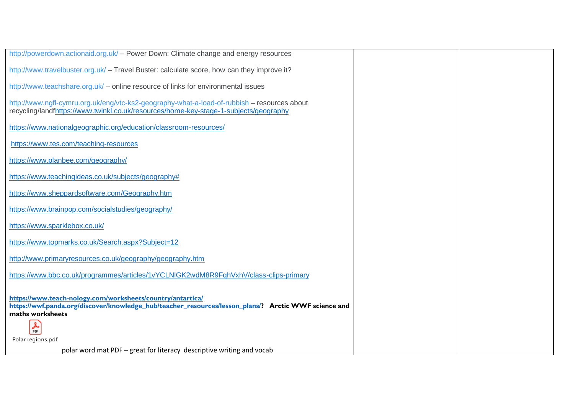| http://powerdown.actionaid.org.uk/ - Power Down: Climate change and energy resources                                                                                                                            |  |
|-----------------------------------------------------------------------------------------------------------------------------------------------------------------------------------------------------------------|--|
| http://www.travelbuster.org.uk/ - Travel Buster: calculate score, how can they improve it?                                                                                                                      |  |
| http://www.teachshare.org.uk/ - online resource of links for environmental issues                                                                                                                               |  |
| http://www.ngfl-cymru.org.uk/eng/vtc-ks2-geography-what-a-load-of-rubbish - resources about<br>recycling/landfhttps://www.twinkl.co.uk/resources/home-key-stage-1-subjects/geography                            |  |
| https://www.nationalgeographic.org/education/classroom-resources/                                                                                                                                               |  |
| https://www.tes.com/teaching-resources                                                                                                                                                                          |  |
| https://www.planbee.com/geography/                                                                                                                                                                              |  |
| https://www.teachingideas.co.uk/subjects/geography#                                                                                                                                                             |  |
| https://www.sheppardsoftware.com/Geography.htm                                                                                                                                                                  |  |
| https://www.brainpop.com/socialstudies/geography/                                                                                                                                                               |  |
| https://www.sparklebox.co.uk/                                                                                                                                                                                   |  |
| https://www.topmarks.co.uk/Search.aspx?Subject=12                                                                                                                                                               |  |
| http://www.primaryresources.co.uk/geography/geography.htm                                                                                                                                                       |  |
| https://www.bbc.co.uk/programmes/articles/1vYCLNIGK2wdM8R9FghVxhV/class-clips-primary                                                                                                                           |  |
| https://www.teach-nology.com/worksheets/country/antartica/<br>https://wwf.panda.org/discover/knowledge_hub/teacher_resources/lesson_plans/? Arctic WWF science and<br>maths worksheets<br>$\frac{1}{\rho_{DF}}$ |  |
| Polar regions.pdf                                                                                                                                                                                               |  |
| polar word mat PDF – great for literacy descriptive writing and vocab                                                                                                                                           |  |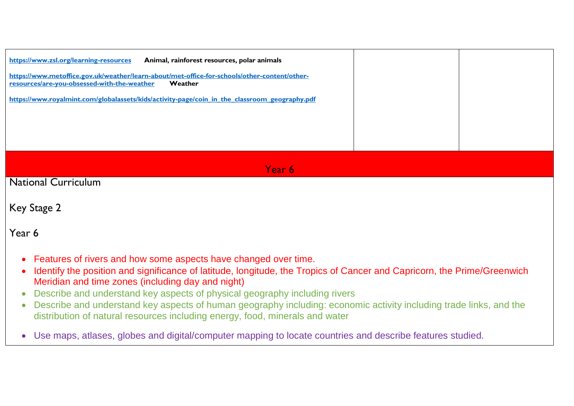| https://www.zsl.org/learning-resources<br>Animal, rainforest resources, polar animals<br>https://www.metoffice.gov.uk/weather/learn-about/met-office-for-schools/other-content/other-<br>resources/are-you-obsessed-with-the-weather<br>Weather<br>https://www.royalmint.com/globalassets/kids/activity-page/coin in the classroom geography.pdf |  |  |  |
|--------------------------------------------------------------------------------------------------------------------------------------------------------------------------------------------------------------------------------------------------------------------------------------------------------------------------------------------------|--|--|--|
| Year 6                                                                                                                                                                                                                                                                                                                                           |  |  |  |
| <b>National Curriculum</b>                                                                                                                                                                                                                                                                                                                       |  |  |  |

```
Key Stage 2
```
# Year 6

- Features of rivers and how some aspects have changed over time.
- Identify the position and significance of latitude, longitude, the Tropics of Cancer and Capricorn, the Prime/Greenwich Meridian and time zones (including day and night)
- Describe and understand key aspects of physical geography including rivers
- Describe and understand key aspects of human geography including: economic activity including trade links, and the distribution of natural resources including energy, food, minerals and water
- Use maps, atlases, globes and digital/computer mapping to locate countries and describe features studied.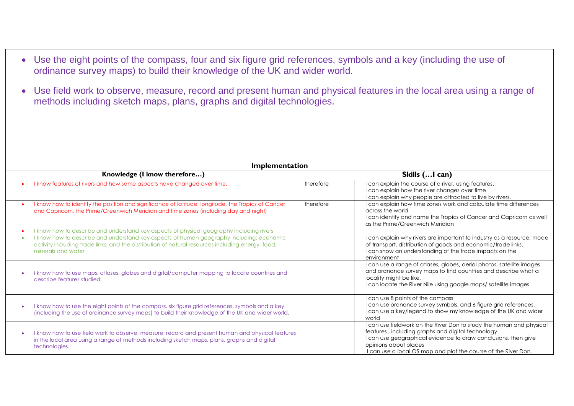- Use the eight points of the compass, four and six figure grid references, symbols and a key (including the use of ordinance survey maps) to build their knowledge of the UK and wider world.
- Use field work to observe, measure, record and present human and physical features in the local area using a range of methods including sketch maps, plans, graphs and digital technologies.

| Implementation               |                                                                                                                                                                                                                     |               |                                                                                                                                                                                                                                                                                        |  |
|------------------------------|---------------------------------------------------------------------------------------------------------------------------------------------------------------------------------------------------------------------|---------------|----------------------------------------------------------------------------------------------------------------------------------------------------------------------------------------------------------------------------------------------------------------------------------------|--|
| Knowledge (I know therefore) |                                                                                                                                                                                                                     | Skills ( can) |                                                                                                                                                                                                                                                                                        |  |
|                              | I know features of rivers and how some aspects have changed over time.                                                                                                                                              | therefore     | I can explain the course of a river, using features.<br>I can explain how the river changes over time<br>I can explain why people are attracted to live by rivers.                                                                                                                     |  |
|                              | I know how to identify the position and significance of latitude, longitude, the Tropics of Cancer<br>and Capricorn, the Prime/Greenwich Meridian and time zones (including day and night)                          | therefore     | I can explain how time zones work and calculate time differences<br>across the world<br>I can identify and name the Tropics of Cancer and Capricorn as well<br>as the Prime/Greenwich Meridian                                                                                         |  |
|                              | I know how to describe and understand key aspects of physical geography including rivers                                                                                                                            |               |                                                                                                                                                                                                                                                                                        |  |
| ٠                            | I know how to describe and understand key aspects of human geography including: economic<br>activity including trade links, and the distribution of natural resources including energy, food,<br>minerals and water |               | I can explain why rivers are important to industry as a resource; mode<br>of transport, distribution of goods and economic/trade links.<br>I can show an understanding of the trade impacts on the<br>environment                                                                      |  |
|                              | I know how to use maps, atlases, globes and digital/computer mapping to locate countries and<br>describe features studied.                                                                                          |               | I can use a range of atlases, globes, aerial photos, satellite images<br>and ordnance survey maps to find countries and describe what a<br>locality might be like.<br>I can locate the River Nile using google maps/ satellite images                                                  |  |
|                              | I know how to use the eight points of the compass, six figure grid references, symbols and a key<br>(including the use of ordinance survey maps) to build their knowledge of the UK and wider world.                |               | I can use 8 points of the compass<br>I can use ordnance survey symbols, and 6 figure grid references.<br>I can use a key/legend to show my knowledge of the UK and wider<br>world                                                                                                      |  |
|                              | I know how to use field work to observe, measure, record and present human and physical features<br>in the local area using a range of methods including sketch maps, plans, graphs and digital<br>technologies.    |               | I can use fieldwork on the River Don to study the human and physical<br>features, including graphs and digital technology<br>I can use geographical evidence to draw conclusions, then give<br>opinions about places<br>I can use a local OS map and plot the course of the River Don. |  |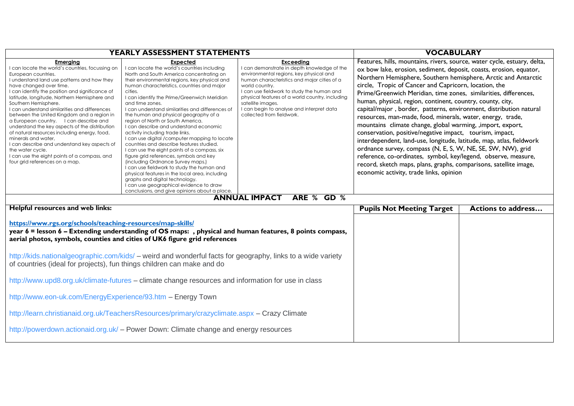| <b>YEARLY ASSESSMENT STATEMENTS</b>                                                                                                                                                                                                                                                                                                                                                                                                                                                                                                                                                                                                                                                                                     |                                                                                                                                                                                                                                                                                                                                                                                                                                                                                                                                                                                                                                                                                                                                                                                                                                                                                                                                                                   |                                                                                                                                                                                                                                                                                                                                                                             | <b>VOCABULARY</b>                                                                                                                                                                                                                                                                                                                                                                                                                                                                                                                                                                                                                                                                                                                                                                                                                                                                                                                                                                                   |  |
|-------------------------------------------------------------------------------------------------------------------------------------------------------------------------------------------------------------------------------------------------------------------------------------------------------------------------------------------------------------------------------------------------------------------------------------------------------------------------------------------------------------------------------------------------------------------------------------------------------------------------------------------------------------------------------------------------------------------------|-------------------------------------------------------------------------------------------------------------------------------------------------------------------------------------------------------------------------------------------------------------------------------------------------------------------------------------------------------------------------------------------------------------------------------------------------------------------------------------------------------------------------------------------------------------------------------------------------------------------------------------------------------------------------------------------------------------------------------------------------------------------------------------------------------------------------------------------------------------------------------------------------------------------------------------------------------------------|-----------------------------------------------------------------------------------------------------------------------------------------------------------------------------------------------------------------------------------------------------------------------------------------------------------------------------------------------------------------------------|-----------------------------------------------------------------------------------------------------------------------------------------------------------------------------------------------------------------------------------------------------------------------------------------------------------------------------------------------------------------------------------------------------------------------------------------------------------------------------------------------------------------------------------------------------------------------------------------------------------------------------------------------------------------------------------------------------------------------------------------------------------------------------------------------------------------------------------------------------------------------------------------------------------------------------------------------------------------------------------------------------|--|
| <b>Emerging</b><br>I can locate the world's countries, focussing on<br>European countries.<br>I understand land use patterns and how they<br>have changed over time.<br>I can identify the position and significance of<br>latitude, longitude, Northern Hemisphere and<br>Southern Hemisphere.<br>I can understand similarities and differences<br>between the United Kingdom and a region in<br>a European country. I can describe and<br>understand the key aspects of the distribution<br>of natural resources including energy, food,<br>minerals and water,<br>I can describe and understand key aspects of<br>the water cycle.<br>I can use the eight points of a compass, and<br>four grid references on a map. | <b>Expected</b><br>I can locate the world's countries including<br>North and South America concentrating on<br>their environmental regions, key physical and<br>human characteristics, countries and major<br>cities.<br>I can identify the Prime/Greenwich Meridian<br>and time zones.<br>I can understand similarities and differences of<br>the human and physical geography of a<br>region of North or South America.<br>I can describe and understand economic<br>activity including trade links.<br>I can use digital /computer mapping to locate<br>countries and describe features studied.<br>I can use the eight points of a compass, six<br>figure grid references, symbols and key<br>(including Ordnance Survey maps.)<br>I can use fieldwork to study the human and<br>physical features in the local area, including<br>graphs and digital technology.<br>I can use geographical evidence to draw<br>conclusions, and give opinions about a place. | <b>Exceeding</b><br>I can demonstrate in depth knowledge of the<br>environmental regions, key physical and<br>human characteristics and major cities of a<br>world country.<br>I can use fieldwork to study the human and<br>physical features of a world country, including<br>satellite images.<br>I can begin to analyse and interpret data<br>collected from fieldwork. | Features, hills, mountains, rivers, source, water cycle, estuary, delta,<br>ox bow lake, erosion, sediment, deposit, coasts, erosion, equator,<br>Northern Hemisphere, Southern hemisphere, Arctic and Antarctic<br>circle, Tropic of Cancer and Capricorn, location, the<br>Prime/Greenwich Meridian, time zones, similarities, differences,<br>human, physical, region, continent, country, county, city,<br>capital/major, border, patterns, environment, distribution natural<br>resources, man-made, food, minerals, water, energy, trade,<br>mountains climate change, global warming, , import, export,<br>conservation, positive/negative impact, tourism, impact,<br>interdependent, land-use, longitude, latitude, map, atlas, fieldwork<br>ordnance survey, compass (N, E, S, W, NE, SE, SW, NW), grid<br>reference, co-ordinates, symbol, key/legend, observe, measure,<br>record, sketch maps, plans, graphs, comparisons, satellite image,<br>economic activity, trade links, opinion |  |
| <b>ANNUAL IMPACT</b><br>ARE % GD %                                                                                                                                                                                                                                                                                                                                                                                                                                                                                                                                                                                                                                                                                      |                                                                                                                                                                                                                                                                                                                                                                                                                                                                                                                                                                                                                                                                                                                                                                                                                                                                                                                                                                   |                                                                                                                                                                                                                                                                                                                                                                             |                                                                                                                                                                                                                                                                                                                                                                                                                                                                                                                                                                                                                                                                                                                                                                                                                                                                                                                                                                                                     |  |
| Helpful resources and web links:<br>https://www.rgs.org/schools/teaching-resources/map-skills/<br>year 6 = lesson 6 – Extending understanding of OS maps:, physical and human features, 8 points compass,<br>aerial photos, symbols, counties and cities of UK6 figure grid references                                                                                                                                                                                                                                                                                                                                                                                                                                  |                                                                                                                                                                                                                                                                                                                                                                                                                                                                                                                                                                                                                                                                                                                                                                                                                                                                                                                                                                   | <b>Pupils Not Meeting Target</b>                                                                                                                                                                                                                                                                                                                                            | <b>Actions to address</b>                                                                                                                                                                                                                                                                                                                                                                                                                                                                                                                                                                                                                                                                                                                                                                                                                                                                                                                                                                           |  |
| http://kids.nationalgeographic.com/kids/ – weird and wonderful facts for geography, links to a wide variety<br>of countries (ideal for projects), fun things children can make and do                                                                                                                                                                                                                                                                                                                                                                                                                                                                                                                                   |                                                                                                                                                                                                                                                                                                                                                                                                                                                                                                                                                                                                                                                                                                                                                                                                                                                                                                                                                                   |                                                                                                                                                                                                                                                                                                                                                                             |                                                                                                                                                                                                                                                                                                                                                                                                                                                                                                                                                                                                                                                                                                                                                                                                                                                                                                                                                                                                     |  |
| http://www.upd8.org.uk/climate-futures - climate change resources and information for use in class                                                                                                                                                                                                                                                                                                                                                                                                                                                                                                                                                                                                                      |                                                                                                                                                                                                                                                                                                                                                                                                                                                                                                                                                                                                                                                                                                                                                                                                                                                                                                                                                                   |                                                                                                                                                                                                                                                                                                                                                                             |                                                                                                                                                                                                                                                                                                                                                                                                                                                                                                                                                                                                                                                                                                                                                                                                                                                                                                                                                                                                     |  |
| http://www.eon-uk.com/EnergyExperience/93.htm - Energy Town                                                                                                                                                                                                                                                                                                                                                                                                                                                                                                                                                                                                                                                             |                                                                                                                                                                                                                                                                                                                                                                                                                                                                                                                                                                                                                                                                                                                                                                                                                                                                                                                                                                   |                                                                                                                                                                                                                                                                                                                                                                             |                                                                                                                                                                                                                                                                                                                                                                                                                                                                                                                                                                                                                                                                                                                                                                                                                                                                                                                                                                                                     |  |
| http://learn.christianaid.org.uk/TeachersResources/primary/crazyclimate.aspx - Crazy Climate                                                                                                                                                                                                                                                                                                                                                                                                                                                                                                                                                                                                                            |                                                                                                                                                                                                                                                                                                                                                                                                                                                                                                                                                                                                                                                                                                                                                                                                                                                                                                                                                                   |                                                                                                                                                                                                                                                                                                                                                                             |                                                                                                                                                                                                                                                                                                                                                                                                                                                                                                                                                                                                                                                                                                                                                                                                                                                                                                                                                                                                     |  |
| http://powerdown.actionaid.org.uk/ - Power Down: Climate change and energy resources                                                                                                                                                                                                                                                                                                                                                                                                                                                                                                                                                                                                                                    |                                                                                                                                                                                                                                                                                                                                                                                                                                                                                                                                                                                                                                                                                                                                                                                                                                                                                                                                                                   |                                                                                                                                                                                                                                                                                                                                                                             |                                                                                                                                                                                                                                                                                                                                                                                                                                                                                                                                                                                                                                                                                                                                                                                                                                                                                                                                                                                                     |  |